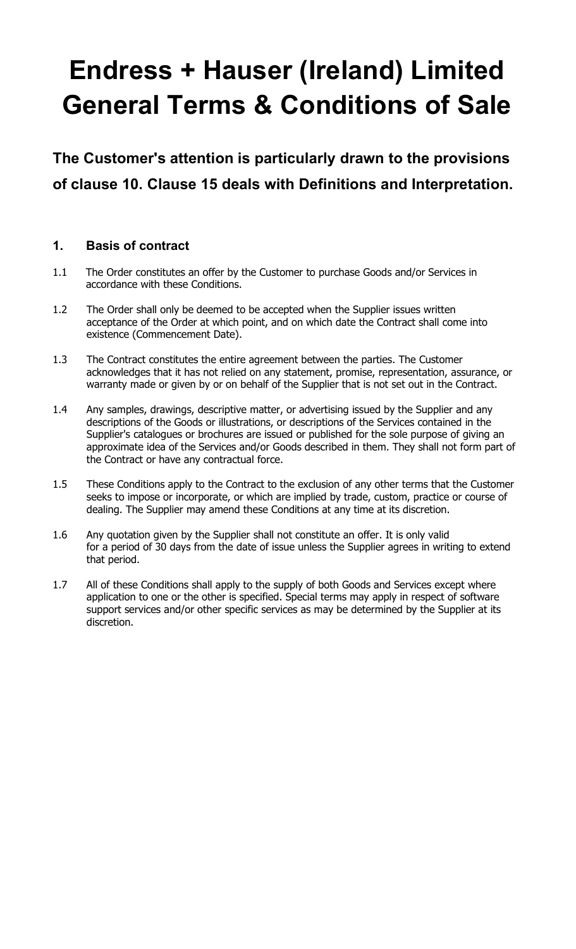# Endress + Hauser (Ireland) Limited General Terms & Conditions of Sale

The Customer's attention is particularly drawn to the provisions of clause 10. Clause 15 deals with Definitions and Interpretation.

## 1. Basis of contract

- 1.1 The Order constitutes an offer by the Customer to purchase Goods and/or Services in accordance with these Conditions.
- 1.2 The Order shall only be deemed to be accepted when the Supplier issues written acceptance of the Order at which point, and on which date the Contract shall come into existence (Commencement Date).
- 1.3 The Contract constitutes the entire agreement between the parties. The Customer acknowledges that it has not relied on any statement, promise, representation, assurance, or warranty made or given by or on behalf of the Supplier that is not set out in the Contract.
- 1.4 Any samples, drawings, descriptive matter, or advertising issued by the Supplier and any descriptions of the Goods or illustrations, or descriptions of the Services contained in the Supplier's catalogues or brochures are issued or published for the sole purpose of giving an approximate idea of the Services and/or Goods described in them. They shall not form part of the Contract or have any contractual force.
- 1.5 These Conditions apply to the Contract to the exclusion of any other terms that the Customer seeks to impose or incorporate, or which are implied by trade, custom, practice or course of dealing. The Supplier may amend these Conditions at any time at its discretion.
- 1.6 Any quotation given by the Supplier shall not constitute an offer. It is only valid for a period of 30 days from the date of issue unless the Supplier agrees in writing to extend that period.
- 1.7 All of these Conditions shall apply to the supply of both Goods and Services except where application to one or the other is specified. Special terms may apply in respect of software support services and/or other specific services as may be determined by the Supplier at its discretion.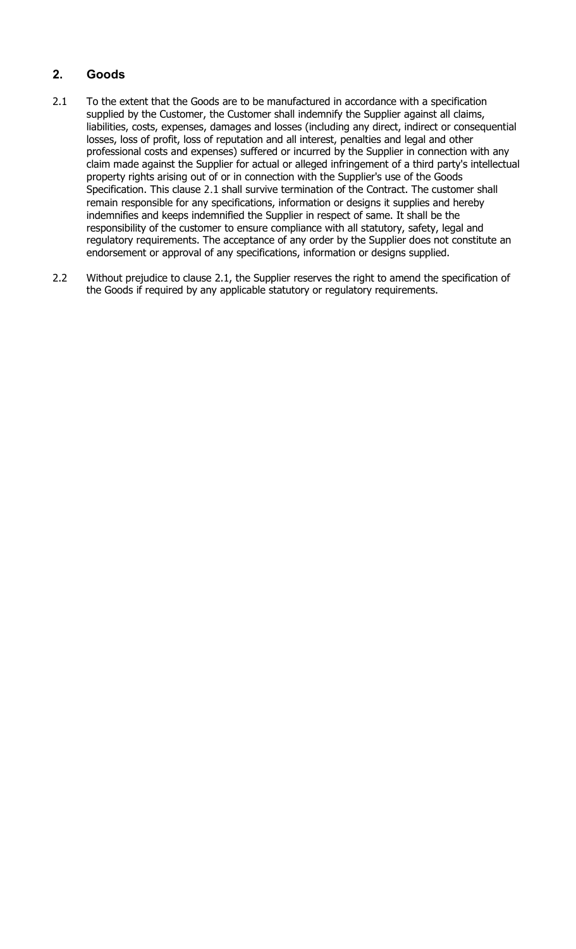## 2. Goods

- 2.1 To the extent that the Goods are to be manufactured in accordance with a specification supplied by the Customer, the Customer shall indemnify the Supplier against all claims, liabilities, costs, expenses, damages and losses (including any direct, indirect or consequential losses, loss of profit, loss of reputation and all interest, penalties and legal and other professional costs and expenses) suffered or incurred by the Supplier in connection with any claim made against the Supplier for actual or alleged infringement of a third party's intellectual property rights arising out of or in connection with the Supplier's use of the Goods Specification. This clause 2.1 shall survive termination of the Contract. The customer shall remain responsible for any specifications, information or designs it supplies and hereby indemnifies and keeps indemnified the Supplier in respect of same. It shall be the responsibility of the customer to ensure compliance with all statutory, safety, legal and regulatory requirements. The acceptance of any order by the Supplier does not constitute an endorsement or approval of any specifications, information or designs supplied.
- 2.2 Without prejudice to clause 2.1, the Supplier reserves the right to amend the specification of the Goods if required by any applicable statutory or regulatory requirements.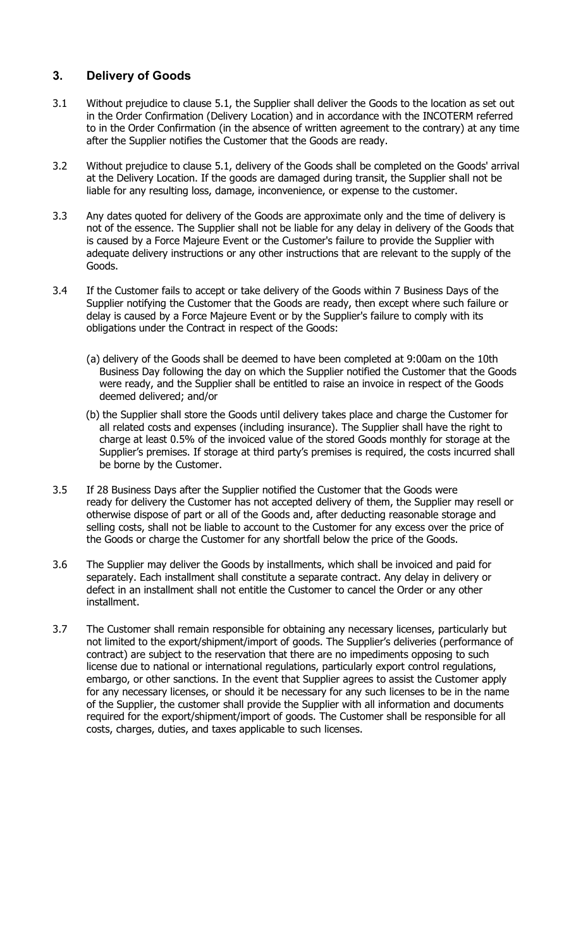## 3. Delivery of Goods

- 3.1 Without prejudice to clause 5.1, the Supplier shall deliver the Goods to the location as set out in the Order Confirmation (Delivery Location) and in accordance with the INCOTERM referred to in the Order Confirmation (in the absence of written agreement to the contrary) at any time after the Supplier notifies the Customer that the Goods are ready.
- 3.2 Without prejudice to clause 5.1, delivery of the Goods shall be completed on the Goods' arrival at the Delivery Location. If the goods are damaged during transit, the Supplier shall not be liable for any resulting loss, damage, inconvenience, or expense to the customer.
- 3.3 Any dates quoted for delivery of the Goods are approximate only and the time of delivery is not of the essence. The Supplier shall not be liable for any delay in delivery of the Goods that is caused by a Force Majeure Event or the Customer's failure to provide the Supplier with adequate delivery instructions or any other instructions that are relevant to the supply of the Goods.
- 3.4 If the Customer fails to accept or take delivery of the Goods within 7 Business Days of the Supplier notifying the Customer that the Goods are ready, then except where such failure or delay is caused by a Force Majeure Event or by the Supplier's failure to comply with its obligations under the Contract in respect of the Goods:
	- (a) delivery of the Goods shall be deemed to have been completed at 9:00am on the 10th Business Day following the day on which the Supplier notified the Customer that the Goods were ready, and the Supplier shall be entitled to raise an invoice in respect of the Goods deemed delivered; and/or
	- (b) the Supplier shall store the Goods until delivery takes place and charge the Customer for all related costs and expenses (including insurance). The Supplier shall have the right to charge at least 0.5% of the invoiced value of the stored Goods monthly for storage at the Supplier's premises. If storage at third party's premises is required, the costs incurred shall be borne by the Customer.
- 3.5 If 28 Business Days after the Supplier notified the Customer that the Goods were ready for delivery the Customer has not accepted delivery of them, the Supplier may resell or otherwise dispose of part or all of the Goods and, after deducting reasonable storage and selling costs, shall not be liable to account to the Customer for any excess over the price of the Goods or charge the Customer for any shortfall below the price of the Goods.
- 3.6 The Supplier may deliver the Goods by installments, which shall be invoiced and paid for separately. Each installment shall constitute a separate contract. Any delay in delivery or defect in an installment shall not entitle the Customer to cancel the Order or any other installment.
- 3.7 The Customer shall remain responsible for obtaining any necessary licenses, particularly but not limited to the export/shipment/import of goods. The Supplier's deliveries (performance of contract) are subject to the reservation that there are no impediments opposing to such license due to national or international regulations, particularly export control regulations, embargo, or other sanctions. In the event that Supplier agrees to assist the Customer apply for any necessary licenses, or should it be necessary for any such licenses to be in the name of the Supplier, the customer shall provide the Supplier with all information and documents required for the export/shipment/import of goods. The Customer shall be responsible for all costs, charges, duties, and taxes applicable to such licenses.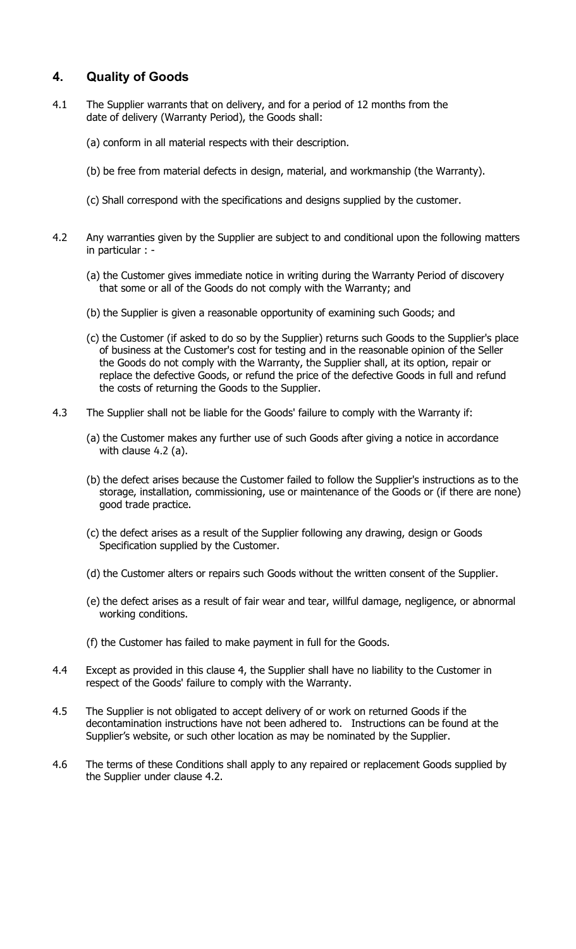## 4. Quality of Goods

- 4.1 The Supplier warrants that on delivery, and for a period of 12 months from the date of delivery (Warranty Period), the Goods shall:
	- (a) conform in all material respects with their description.
	- (b) be free from material defects in design, material, and workmanship (the Warranty).
	- (c) Shall correspond with the specifications and designs supplied by the customer.
- 4.2 Any warranties given by the Supplier are subject to and conditional upon the following matters in particular : -
	- (a) the Customer gives immediate notice in writing during the Warranty Period of discovery that some or all of the Goods do not comply with the Warranty; and
	- (b) the Supplier is given a reasonable opportunity of examining such Goods; and
	- (c) the Customer (if asked to do so by the Supplier) returns such Goods to the Supplier's place of business at the Customer's cost for testing and in the reasonable opinion of the Seller the Goods do not comply with the Warranty, the Supplier shall, at its option, repair or replace the defective Goods, or refund the price of the defective Goods in full and refund the costs of returning the Goods to the Supplier.
- 4.3 The Supplier shall not be liable for the Goods' failure to comply with the Warranty if:
	- (a) the Customer makes any further use of such Goods after giving a notice in accordance with clause 4.2 (a).
	- (b) the defect arises because the Customer failed to follow the Supplier's instructions as to the storage, installation, commissioning, use or maintenance of the Goods or (if there are none) good trade practice.
	- (c) the defect arises as a result of the Supplier following any drawing, design or Goods Specification supplied by the Customer.
	- (d) the Customer alters or repairs such Goods without the written consent of the Supplier.
	- (e) the defect arises as a result of fair wear and tear, willful damage, negligence, or abnormal working conditions.
	- (f) the Customer has failed to make payment in full for the Goods.
- 4.4 Except as provided in this clause 4, the Supplier shall have no liability to the Customer in respect of the Goods' failure to comply with the Warranty.
- 4.5 The Supplier is not obligated to accept delivery of or work on returned Goods if the decontamination instructions have not been adhered to. Instructions can be found at the Supplier's website, or such other location as may be nominated by the Supplier.
- 4.6 The terms of these Conditions shall apply to any repaired or replacement Goods supplied by the Supplier under clause 4.2.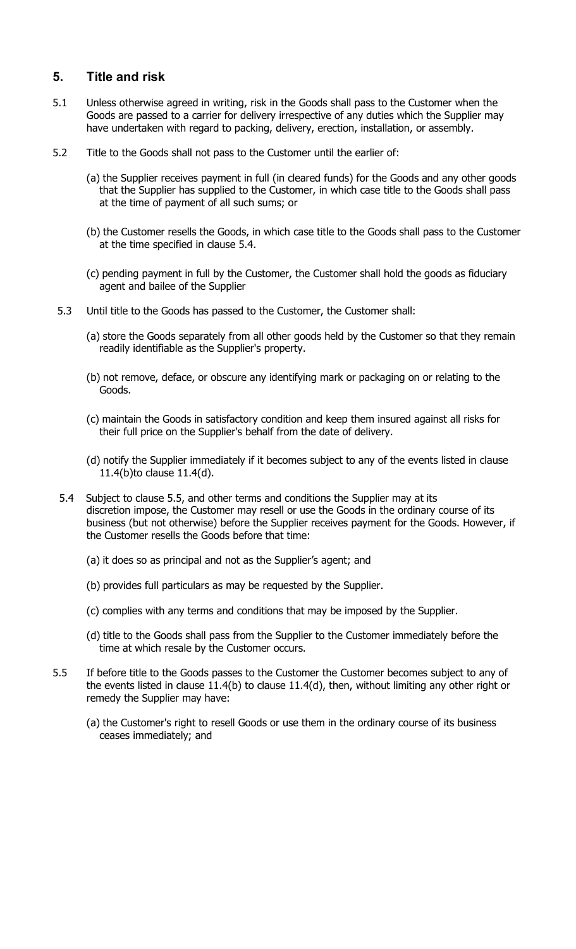## 5. Title and risk

- 5.1 Unless otherwise agreed in writing, risk in the Goods shall pass to the Customer when the Goods are passed to a carrier for delivery irrespective of any duties which the Supplier may have undertaken with regard to packing, delivery, erection, installation, or assembly.
- 5.2 Title to the Goods shall not pass to the Customer until the earlier of:
	- (a) the Supplier receives payment in full (in cleared funds) for the Goods and any other goods that the Supplier has supplied to the Customer, in which case title to the Goods shall pass at the time of payment of all such sums; or
	- (b) the Customer resells the Goods, in which case title to the Goods shall pass to the Customer at the time specified in clause 5.4.
	- (c) pending payment in full by the Customer, the Customer shall hold the goods as fiduciary agent and bailee of the Supplier
- 5.3 Until title to the Goods has passed to the Customer, the Customer shall:
	- (a) store the Goods separately from all other goods held by the Customer so that they remain readily identifiable as the Supplier's property.
	- (b) not remove, deface, or obscure any identifying mark or packaging on or relating to the Goods.
	- (c) maintain the Goods in satisfactory condition and keep them insured against all risks for their full price on the Supplier's behalf from the date of delivery.
	- (d) notify the Supplier immediately if it becomes subject to any of the events listed in clause 11.4(b)to clause 11.4(d).
- 5.4 Subject to clause 5.5, and other terms and conditions the Supplier may at its discretion impose, the Customer may resell or use the Goods in the ordinary course of its business (but not otherwise) before the Supplier receives payment for the Goods. However, if the Customer resells the Goods before that time:
	- (a) it does so as principal and not as the Supplier's agent; and
	- (b) provides full particulars as may be requested by the Supplier.
	- (c) complies with any terms and conditions that may be imposed by the Supplier.
	- (d) title to the Goods shall pass from the Supplier to the Customer immediately before the time at which resale by the Customer occurs.
- 5.5 If before title to the Goods passes to the Customer the Customer becomes subject to any of the events listed in clause 11.4(b) to clause 11.4(d), then, without limiting any other right or remedy the Supplier may have:
	- (a) the Customer's right to resell Goods or use them in the ordinary course of its business ceases immediately; and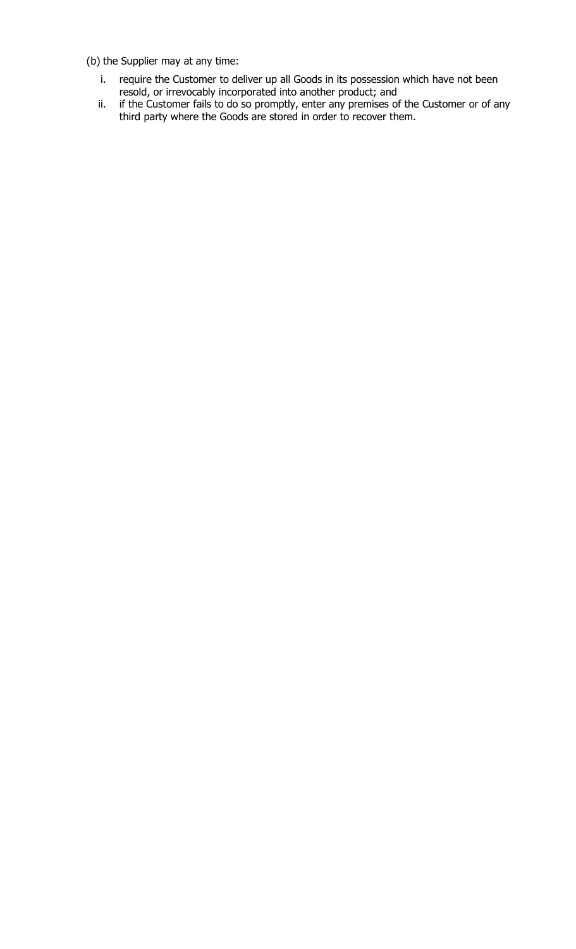(b) the Supplier may at any time:

- i. require the Customer to deliver up all Goods in its possession which have not been resold, or irrevocably incorporated into another product; and
- ii. if the Customer fails to do so promptly, enter any premises of the Customer or of any third party where the Goods are stored in order to recover them.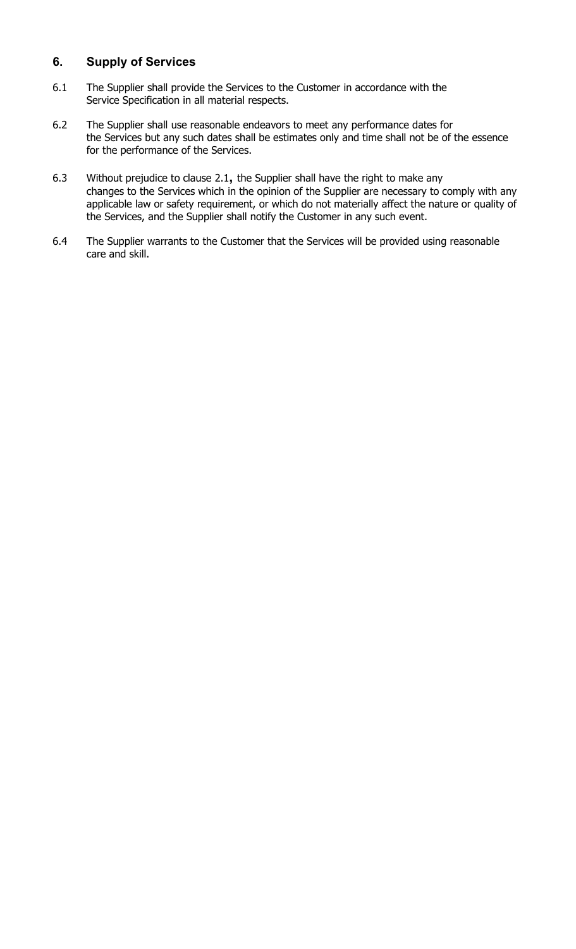### 6. Supply of Services

- 6.1 The Supplier shall provide the Services to the Customer in accordance with the Service Specification in all material respects.
- 6.2 The Supplier shall use reasonable endeavors to meet any performance dates for the Services but any such dates shall be estimates only and time shall not be of the essence for the performance of the Services.
- 6.3 Without prejudice to clause 2.1, the Supplier shall have the right to make any changes to the Services which in the opinion of the Supplier are necessary to comply with any applicable law or safety requirement, or which do not materially affect the nature or quality of the Services, and the Supplier shall notify the Customer in any such event.
- 6.4 The Supplier warrants to the Customer that the Services will be provided using reasonable care and skill.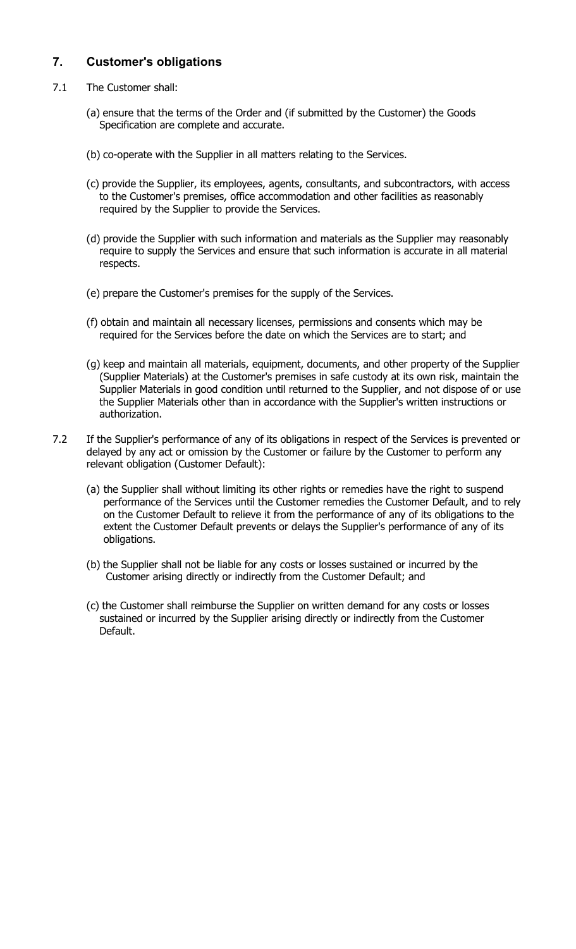## 7. Customer's obligations

- 7.1 The Customer shall:
	- (a) ensure that the terms of the Order and (if submitted by the Customer) the Goods Specification are complete and accurate.
	- (b) co-operate with the Supplier in all matters relating to the Services.
	- (c) provide the Supplier, its employees, agents, consultants, and subcontractors, with access to the Customer's premises, office accommodation and other facilities as reasonably required by the Supplier to provide the Services.
	- (d) provide the Supplier with such information and materials as the Supplier may reasonably require to supply the Services and ensure that such information is accurate in all material respects.
	- (e) prepare the Customer's premises for the supply of the Services.
	- (f) obtain and maintain all necessary licenses, permissions and consents which may be required for the Services before the date on which the Services are to start; and
	- (g) keep and maintain all materials, equipment, documents, and other property of the Supplier (Supplier Materials) at the Customer's premises in safe custody at its own risk, maintain the Supplier Materials in good condition until returned to the Supplier, and not dispose of or use the Supplier Materials other than in accordance with the Supplier's written instructions or authorization.
- 7.2 If the Supplier's performance of any of its obligations in respect of the Services is prevented or delayed by any act or omission by the Customer or failure by the Customer to perform any relevant obligation (Customer Default):
	- (a) the Supplier shall without limiting its other rights or remedies have the right to suspend performance of the Services until the Customer remedies the Customer Default, and to rely on the Customer Default to relieve it from the performance of any of its obligations to the extent the Customer Default prevents or delays the Supplier's performance of any of its obligations.
	- (b) the Supplier shall not be liable for any costs or losses sustained or incurred by the Customer arising directly or indirectly from the Customer Default; and
	- (c) the Customer shall reimburse the Supplier on written demand for any costs or losses sustained or incurred by the Supplier arising directly or indirectly from the Customer Default.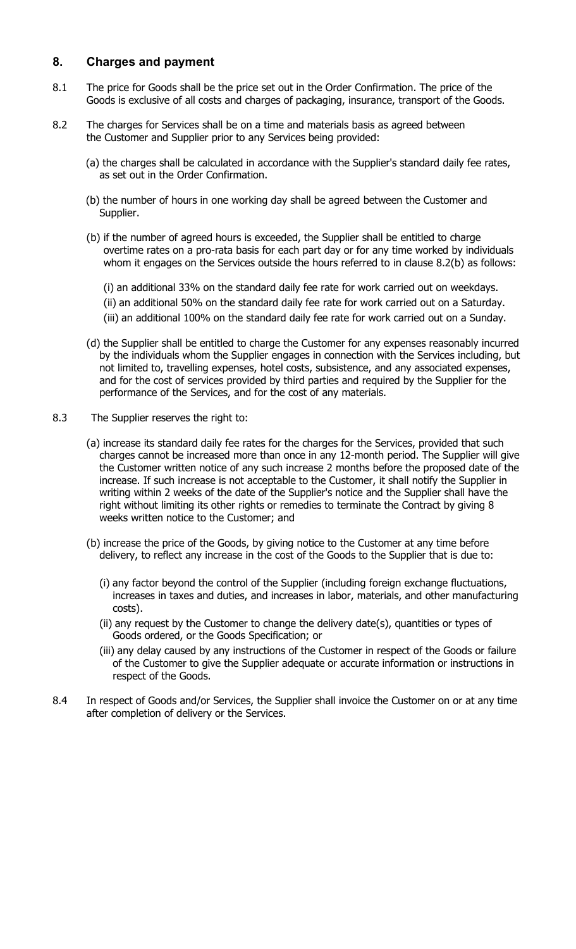#### 8. Charges and payment

- 8.1 The price for Goods shall be the price set out in the Order Confirmation. The price of the Goods is exclusive of all costs and charges of packaging, insurance, transport of the Goods.
- 8.2 The charges for Services shall be on a time and materials basis as agreed between the Customer and Supplier prior to any Services being provided:
	- (a) the charges shall be calculated in accordance with the Supplier's standard daily fee rates, as set out in the Order Confirmation.
	- (b) the number of hours in one working day shall be agreed between the Customer and Supplier.
	- (b) if the number of agreed hours is exceeded, the Supplier shall be entitled to charge overtime rates on a pro-rata basis for each part day or for any time worked by individuals whom it engages on the Services outside the hours referred to in clause 8.2(b) as follows:
		- (i) an additional 33% on the standard daily fee rate for work carried out on weekdays.
		- (ii) an additional 50% on the standard daily fee rate for work carried out on a Saturday.
		- (iii) an additional 100% on the standard daily fee rate for work carried out on a Sunday.
	- (d) the Supplier shall be entitled to charge the Customer for any expenses reasonably incurred by the individuals whom the Supplier engages in connection with the Services including, but not limited to, travelling expenses, hotel costs, subsistence, and any associated expenses, and for the cost of services provided by third parties and required by the Supplier for the performance of the Services, and for the cost of any materials.
- 8.3 The Supplier reserves the right to:
	- (a) increase its standard daily fee rates for the charges for the Services, provided that such charges cannot be increased more than once in any 12-month period. The Supplier will give the Customer written notice of any such increase 2 months before the proposed date of the increase. If such increase is not acceptable to the Customer, it shall notify the Supplier in writing within 2 weeks of the date of the Supplier's notice and the Supplier shall have the right without limiting its other rights or remedies to terminate the Contract by giving 8 weeks written notice to the Customer; and
	- (b) increase the price of the Goods, by giving notice to the Customer at any time before delivery, to reflect any increase in the cost of the Goods to the Supplier that is due to:
		- (i) any factor beyond the control of the Supplier (including foreign exchange fluctuations, increases in taxes and duties, and increases in labor, materials, and other manufacturing costs).
		- (ii) any request by the Customer to change the delivery date(s), quantities or types of Goods ordered, or the Goods Specification; or
		- (iii) any delay caused by any instructions of the Customer in respect of the Goods or failure of the Customer to give the Supplier adequate or accurate information or instructions in respect of the Goods.
- 8.4 In respect of Goods and/or Services, the Supplier shall invoice the Customer on or at any time after completion of delivery or the Services.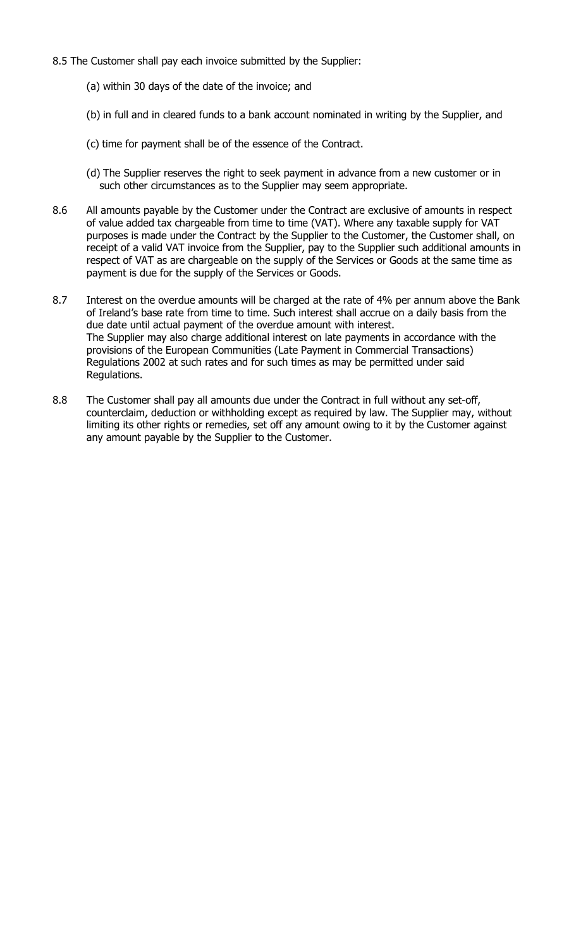- 8.5 The Customer shall pay each invoice submitted by the Supplier:
	- (a) within 30 days of the date of the invoice; and
	- (b) in full and in cleared funds to a bank account nominated in writing by the Supplier, and
	- (c) time for payment shall be of the essence of the Contract.
	- (d) The Supplier reserves the right to seek payment in advance from a new customer or in such other circumstances as to the Supplier may seem appropriate.
- 8.6 All amounts payable by the Customer under the Contract are exclusive of amounts in respect of value added tax chargeable from time to time (VAT). Where any taxable supply for VAT purposes is made under the Contract by the Supplier to the Customer, the Customer shall, on receipt of a valid VAT invoice from the Supplier, pay to the Supplier such additional amounts in respect of VAT as are chargeable on the supply of the Services or Goods at the same time as payment is due for the supply of the Services or Goods.
- 8.7 Interest on the overdue amounts will be charged at the rate of 4% per annum above the Bank of Ireland's base rate from time to time. Such interest shall accrue on a daily basis from the due date until actual payment of the overdue amount with interest. The Supplier may also charge additional interest on late payments in accordance with the provisions of the European Communities (Late Payment in Commercial Transactions) Regulations 2002 at such rates and for such times as may be permitted under said Regulations.
- 8.8 The Customer shall pay all amounts due under the Contract in full without any set-off, counterclaim, deduction or withholding except as required by law. The Supplier may, without limiting its other rights or remedies, set off any amount owing to it by the Customer against any amount payable by the Supplier to the Customer.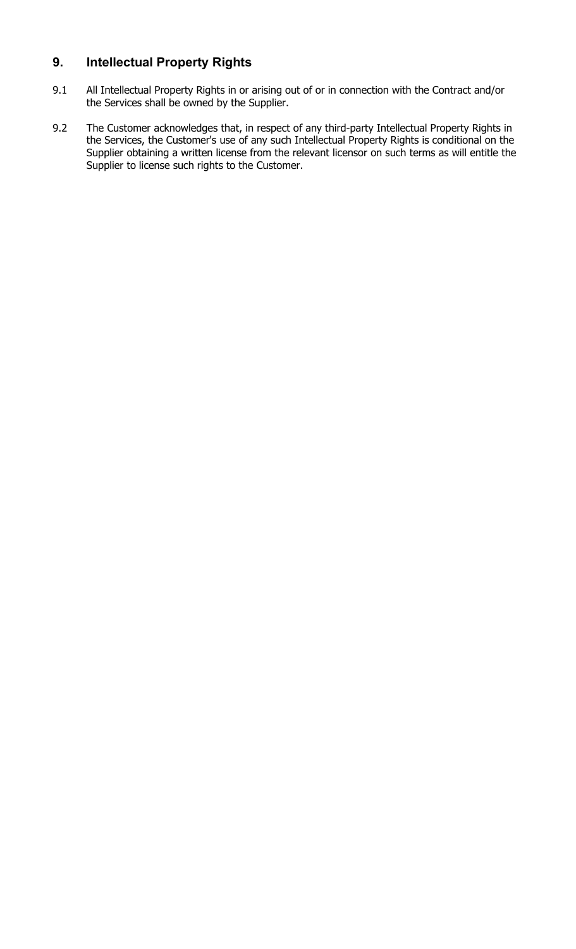# 9. Intellectual Property Rights

- 9.1 All Intellectual Property Rights in or arising out of or in connection with the Contract and/or the Services shall be owned by the Supplier.
- 9.2 The Customer acknowledges that, in respect of any third-party Intellectual Property Rights in the Services, the Customer's use of any such Intellectual Property Rights is conditional on the Supplier obtaining a written license from the relevant licensor on such terms as will entitle the Supplier to license such rights to the Customer.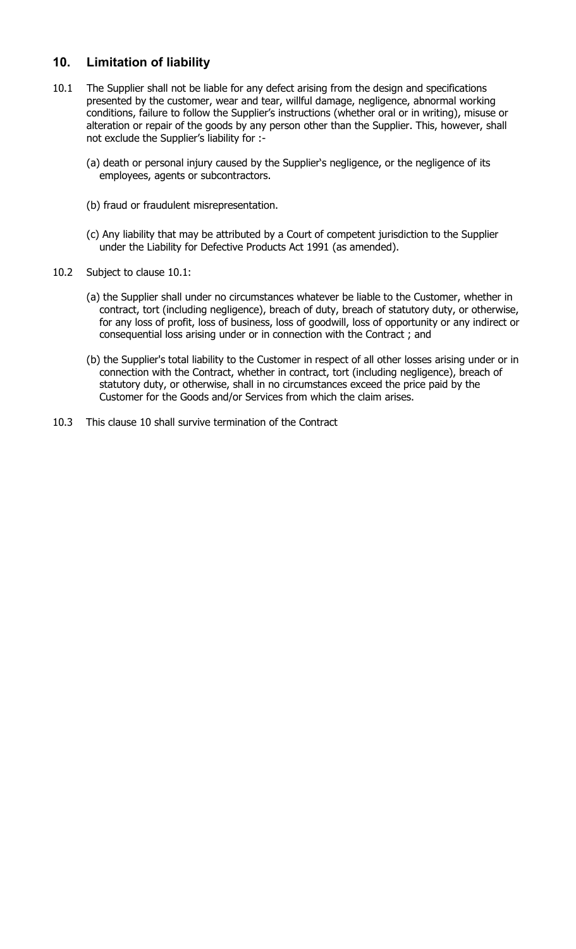# 10. Limitation of liability

- 10.1 The Supplier shall not be liable for any defect arising from the design and specifications presented by the customer, wear and tear, willful damage, negligence, abnormal working conditions, failure to follow the Supplier's instructions (whether oral or in writing), misuse or alteration or repair of the goods by any person other than the Supplier. This, however, shall not exclude the Supplier's liability for :-
	- (a) death or personal injury caused by the Supplier's negligence, or the negligence of its employees, agents or subcontractors.
	- (b) fraud or fraudulent misrepresentation.
	- (c) Any liability that may be attributed by a Court of competent jurisdiction to the Supplier under the Liability for Defective Products Act 1991 (as amended).
- 10.2 Subject to clause 10.1:
	- (a) the Supplier shall under no circumstances whatever be liable to the Customer, whether in contract, tort (including negligence), breach of duty, breach of statutory duty, or otherwise, for any loss of profit, loss of business, loss of goodwill, loss of opportunity or any indirect or consequential loss arising under or in connection with the Contract ; and
	- (b) the Supplier's total liability to the Customer in respect of all other losses arising under or in connection with the Contract, whether in contract, tort (including negligence), breach of statutory duty, or otherwise, shall in no circumstances exceed the price paid by the Customer for the Goods and/or Services from which the claim arises.
- 10.3 This clause 10 shall survive termination of the Contract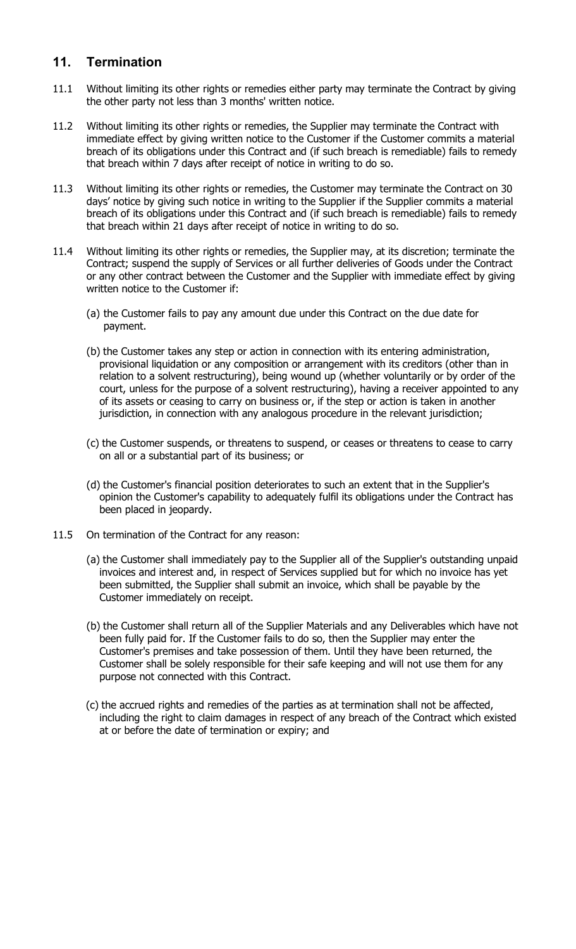## 11. Termination

- 11.1 Without limiting its other rights or remedies either party may terminate the Contract by giving the other party not less than 3 months' written notice.
- 11.2 Without limiting its other rights or remedies, the Supplier may terminate the Contract with immediate effect by giving written notice to the Customer if the Customer commits a material breach of its obligations under this Contract and (if such breach is remediable) fails to remedy that breach within 7 days after receipt of notice in writing to do so.
- 11.3 Without limiting its other rights or remedies, the Customer may terminate the Contract on 30 days' notice by giving such notice in writing to the Supplier if the Supplier commits a material breach of its obligations under this Contract and (if such breach is remediable) fails to remedy that breach within 21 days after receipt of notice in writing to do so.
- 11.4 Without limiting its other rights or remedies, the Supplier may, at its discretion; terminate the Contract; suspend the supply of Services or all further deliveries of Goods under the Contract or any other contract between the Customer and the Supplier with immediate effect by giving written notice to the Customer if:
	- (a) the Customer fails to pay any amount due under this Contract on the due date for payment.
	- (b) the Customer takes any step or action in connection with its entering administration, provisional liquidation or any composition or arrangement with its creditors (other than in relation to a solvent restructuring), being wound up (whether voluntarily or by order of the court, unless for the purpose of a solvent restructuring), having a receiver appointed to any of its assets or ceasing to carry on business or, if the step or action is taken in another jurisdiction, in connection with any analogous procedure in the relevant jurisdiction;
	- (c) the Customer suspends, or threatens to suspend, or ceases or threatens to cease to carry on all or a substantial part of its business; or
	- (d) the Customer's financial position deteriorates to such an extent that in the Supplier's opinion the Customer's capability to adequately fulfil its obligations under the Contract has been placed in jeopardy.
- 11.5 On termination of the Contract for any reason:
	- (a) the Customer shall immediately pay to the Supplier all of the Supplier's outstanding unpaid invoices and interest and, in respect of Services supplied but for which no invoice has yet been submitted, the Supplier shall submit an invoice, which shall be payable by the Customer immediately on receipt.
	- (b) the Customer shall return all of the Supplier Materials and any Deliverables which have not been fully paid for. If the Customer fails to do so, then the Supplier may enter the Customer's premises and take possession of them. Until they have been returned, the Customer shall be solely responsible for their safe keeping and will not use them for any purpose not connected with this Contract.
	- (c) the accrued rights and remedies of the parties as at termination shall not be affected, including the right to claim damages in respect of any breach of the Contract which existed at or before the date of termination or expiry; and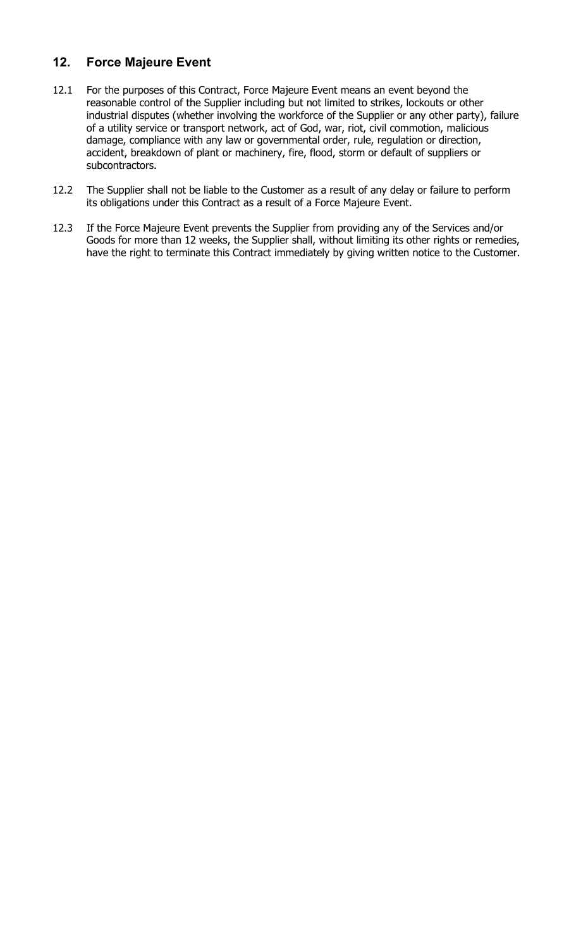# 12. Force Majeure Event

- 12.1 For the purposes of this Contract, Force Majeure Event means an event beyond the reasonable control of the Supplier including but not limited to strikes, lockouts or other industrial disputes (whether involving the workforce of the Supplier or any other party), failure of a utility service or transport network, act of God, war, riot, civil commotion, malicious damage, compliance with any law or governmental order, rule, regulation or direction, accident, breakdown of plant or machinery, fire, flood, storm or default of suppliers or subcontractors.
- 12.2 The Supplier shall not be liable to the Customer as a result of any delay or failure to perform its obligations under this Contract as a result of a Force Majeure Event.
- 12.3 If the Force Majeure Event prevents the Supplier from providing any of the Services and/or Goods for more than 12 weeks, the Supplier shall, without limiting its other rights or remedies, have the right to terminate this Contract immediately by giving written notice to the Customer.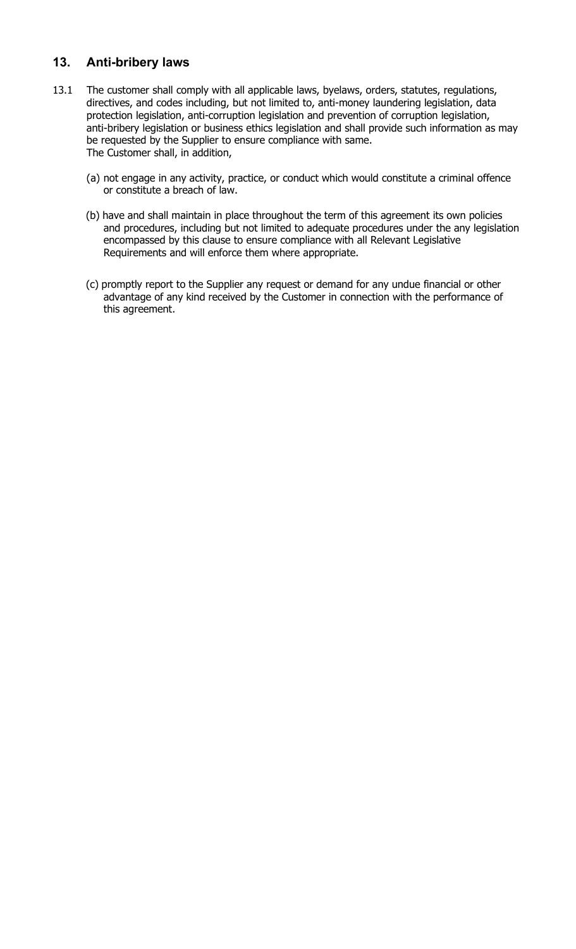## 13. Anti-bribery laws

- 13.1 The customer shall comply with all applicable laws, byelaws, orders, statutes, regulations, directives, and codes including, but not limited to, anti-money laundering legislation, data protection legislation, anti-corruption legislation and prevention of corruption legislation, anti-bribery legislation or business ethics legislation and shall provide such information as may be requested by the Supplier to ensure compliance with same. The Customer shall, in addition,
	- (a) not engage in any activity, practice, or conduct which would constitute a criminal offence or constitute a breach of law.
	- (b) have and shall maintain in place throughout the term of this agreement its own policies and procedures, including but not limited to adequate procedures under the any legislation encompassed by this clause to ensure compliance with all Relevant Legislative Requirements and will enforce them where appropriate.
	- (c) promptly report to the Supplier any request or demand for any undue financial or other advantage of any kind received by the Customer in connection with the performance of this agreement.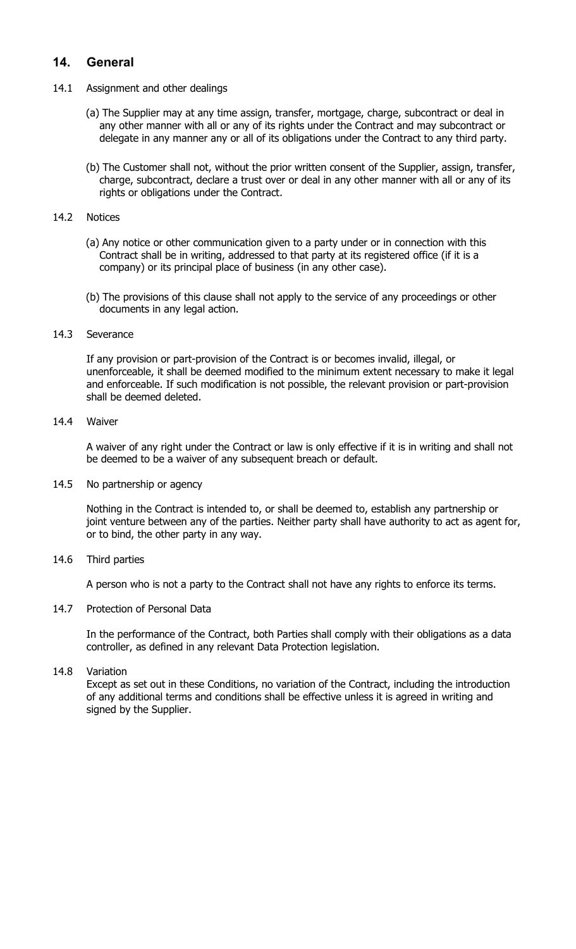## 14. General

- 14.1 Assignment and other dealings
	- (a) The Supplier may at any time assign, transfer, mortgage, charge, subcontract or deal in any other manner with all or any of its rights under the Contract and may subcontract or delegate in any manner any or all of its obligations under the Contract to any third party.
	- (b) The Customer shall not, without the prior written consent of the Supplier, assign, transfer, charge, subcontract, declare a trust over or deal in any other manner with all or any of its rights or obligations under the Contract.

#### 14.2 Notices

- (a) Any notice or other communication given to a party under or in connection with this Contract shall be in writing, addressed to that party at its registered office (if it is a company) or its principal place of business (in any other case).
- (b) The provisions of this clause shall not apply to the service of any proceedings or other documents in any legal action.

#### 14.3 Severance

If any provision or part-provision of the Contract is or becomes invalid, illegal, or unenforceable, it shall be deemed modified to the minimum extent necessary to make it legal and enforceable. If such modification is not possible, the relevant provision or part-provision shall be deemed deleted.

#### 14.4 Waiver

A waiver of any right under the Contract or law is only effective if it is in writing and shall not be deemed to be a waiver of any subsequent breach or default.

#### 14.5 No partnership or agency

Nothing in the Contract is intended to, or shall be deemed to, establish any partnership or joint venture between any of the parties. Neither party shall have authority to act as agent for, or to bind, the other party in any way.

#### 14.6 Third parties

A person who is not a party to the Contract shall not have any rights to enforce its terms.

#### 14.7 Protection of Personal Data

In the performance of the Contract, both Parties shall comply with their obligations as a data controller, as defined in any relevant Data Protection legislation.

#### 14.8 Variation

Except as set out in these Conditions, no variation of the Contract, including the introduction of any additional terms and conditions shall be effective unless it is agreed in writing and signed by the Supplier.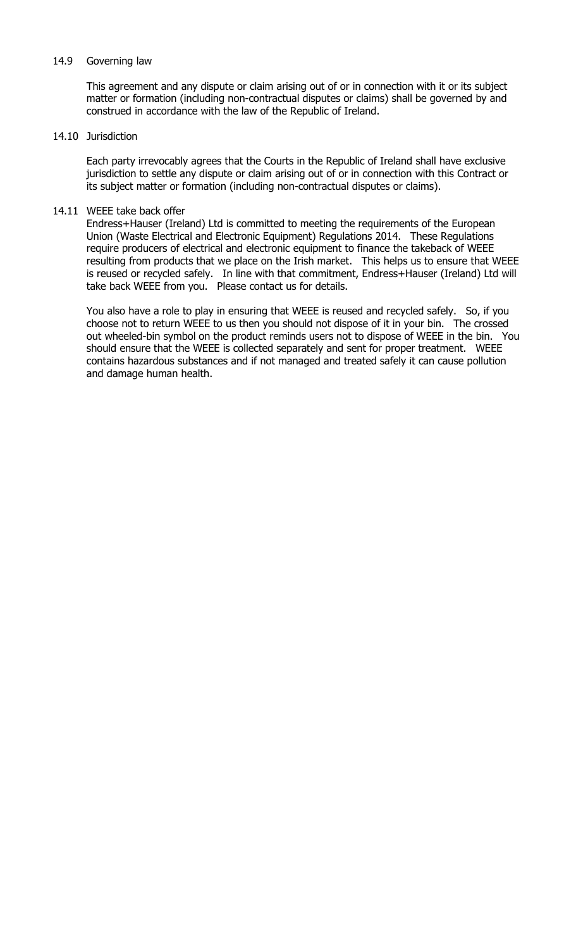#### 14.9 Governing law

This agreement and any dispute or claim arising out of or in connection with it or its subject matter or formation (including non-contractual disputes or claims) shall be governed by and construed in accordance with the law of the Republic of Ireland.

#### 14.10 Jurisdiction

Each party irrevocably agrees that the Courts in the Republic of Ireland shall have exclusive jurisdiction to settle any dispute or claim arising out of or in connection with this Contract or its subject matter or formation (including non-contractual disputes or claims).

#### 14.11 WEEE take back offer

Endress+Hauser (Ireland) Ltd is committed to meeting the requirements of the European Union (Waste Electrical and Electronic Equipment) Regulations 2014. These Regulations require producers of electrical and electronic equipment to finance the takeback of WEEE resulting from products that we place on the Irish market. This helps us to ensure that WEEE is reused or recycled safely. In line with that commitment, Endress+Hauser (Ireland) Ltd will take back WEEE from you. Please contact us for details.

You also have a role to play in ensuring that WEEE is reused and recycled safely. So, if you choose not to return WEEE to us then you should not dispose of it in your bin. The crossed out wheeled-bin symbol on the product reminds users not to dispose of WEEE in the bin. You should ensure that the WEEE is collected separately and sent for proper treatment. WEEE contains hazardous substances and if not managed and treated safely it can cause pollution and damage human health.